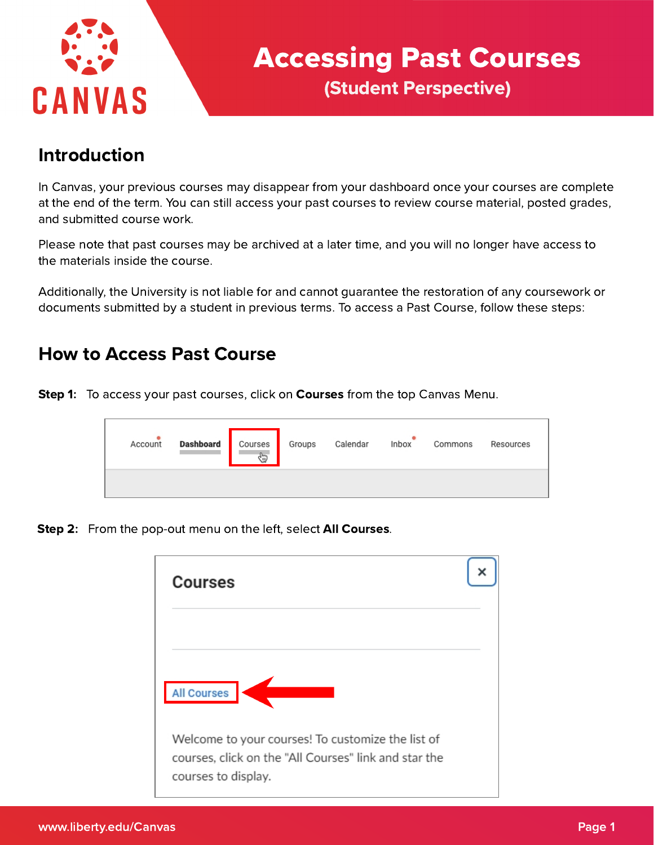

# Accessing Past Courses (Student Perspective)

## Introduction

In Canvas, your previous courses may disappear from your dashboard once your courses are complete at the end of the term. You can still access your past courses to review course material, posted grades, and submitted course work.

Please note that past courses may be archived at a later time, and you will no longer have access to the materials inside the course.

Additionally, the University is not liable for and cannot guarantee the restoration of any coursework or documents submitted by a student in previous terms. To access a Past Course, follow these steps:

#### How to Access Past Course

Step 1: To access your past courses, click on Courses from the top Canvas Menu.

| <b>Dashboard</b><br>Account | Courses<br>⊕ | Groups | Calendar | Inbox | Commons | Resources |
|-----------------------------|--------------|--------|----------|-------|---------|-----------|
|                             |              |        |          |       |         |           |

Step 2: From the pop-out menu on the left, select All Courses.

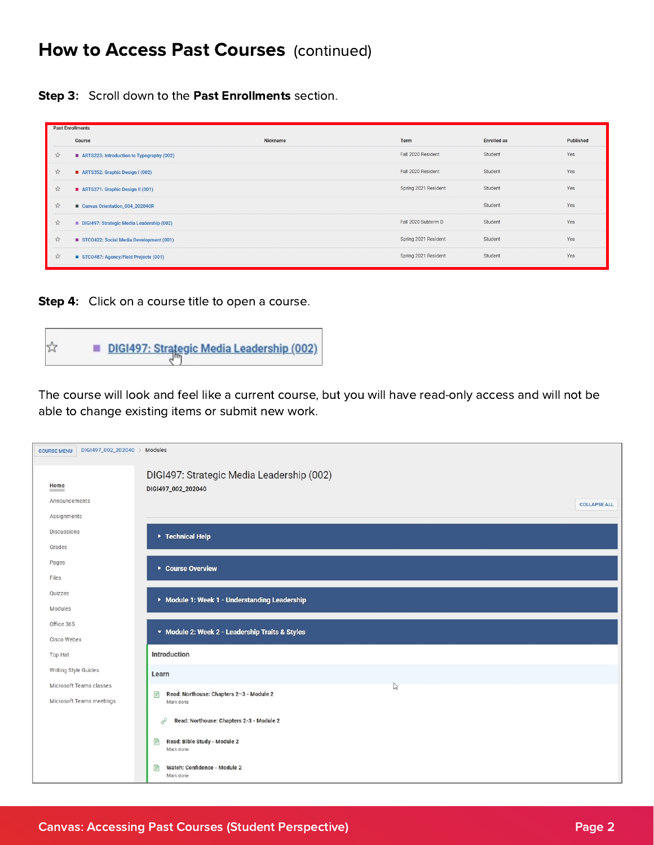## How to Access Past Courses (continued)

Step 3: Scroll down to the Past Enrollments section.

|                       | <b>Past Enrollments</b>                   |          |                      |                    |           |  |  |
|-----------------------|-------------------------------------------|----------|----------------------|--------------------|-----------|--|--|
|                       | Course                                    | Nickname | Term                 | <b>Enrolled</b> as | Published |  |  |
| $5\frac{1}{24}$       | ARTS223: Introduction to Typography (002) |          | Fall 2020 Resident   | Student            | Yes       |  |  |
| $\frac{1}{2\sqrt{3}}$ | ARTS352: Graphic Design I (002)           |          | Fall 2020 Resident   | Student            | Yes       |  |  |
| $2\frac{1}{2}$        | ARTS371: Graphic Design II (001)          |          | Spring 2021 Resident | Student            | Yes       |  |  |
| 27                    | Canvas Orientation_004_202040R            |          |                      | Student            | Yes       |  |  |
| $5\frac{1}{2}$        | DIGI497: Strategic Media Leadership (002) |          | Fall 2020 Subterm D  | Student            | Yes       |  |  |
| $5\%$                 | STCO422: Social Media Development (001)   |          | Spring 2021 Resident | Student            | Yes       |  |  |
| $\frac{1}{2}$         | STCO487: Agency/Field Projects (001)      |          | Spring 2021 Resident | Student            | Yes       |  |  |

Step 4: Click on a course title to open a course.



The course will look and feel like a current course, but you will have read-only access and will not be able to change existing items or submit new work.

| DIGI497_002_202040 > Modules<br><b>COURSE MENU</b> |                                                            |
|----------------------------------------------------|------------------------------------------------------------|
|                                                    | DIGI497: Strategic Media Leadership (002)                  |
| Home<br><b>Contractor</b>                          | DIGI497_002_202040                                         |
| Announcements                                      | <b>COLLAPSE ALL</b>                                        |
| Assignments                                        |                                                            |
| Discussions                                        | ▶ Technical Help                                           |
| Grades                                             |                                                            |
| Pages                                              | ▶ Course Overview                                          |
| Files                                              |                                                            |
| Quizzes                                            | Module 1: Week 1 - Understanding Leadership                |
| Modules                                            |                                                            |
| Office 365                                         | ▼ Module 2: Week 2 - Leadership Traits & Styles            |
| Cisco Webex                                        |                                                            |
| Top Hat                                            | Introduction                                               |
| Writing Style Guides                               | Learn                                                      |
| Microsoft Teams classes                            | $\mathbb{Z}$                                               |
| Microsoft Teams meetings                           | F<br>Read: Northouse: Chapters 2-3 - Module 2<br>Mark done |
|                                                    | Read: Northouse: Chapters 2-3 - Module 2<br>8              |
|                                                    | Read: Bible Study - Module 2<br>P<br>Mark done             |
|                                                    | Watch: Confidence - Module 2<br>P<br>Mark done             |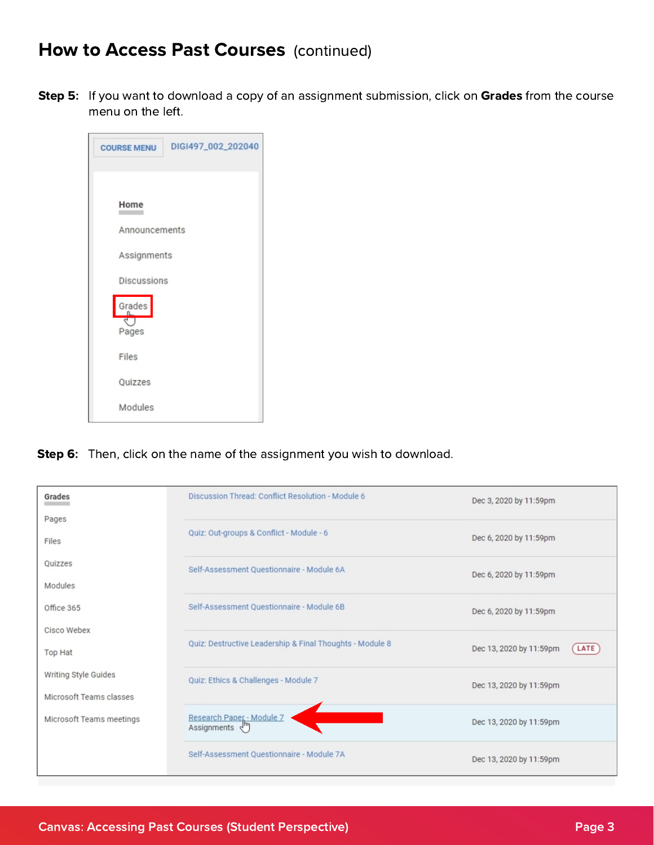## How to Access Past Courses (continued)

**Step 5:** If you want to download a copy of an assignment submission, click on **Grades** from the course menu on the left.

| <b>COURSE MENU</b> | DIGI497_002_202040 |
|--------------------|--------------------|
|                    |                    |
| Home               |                    |
| Announcements      |                    |
| Assignments        |                    |
| Discussions        |                    |
| Grades<br>Pages    |                    |
| Files              |                    |
| Quizzes            |                    |
| Modules            |                    |

Step 6: Then, click on the name of the assignment you wish to download.